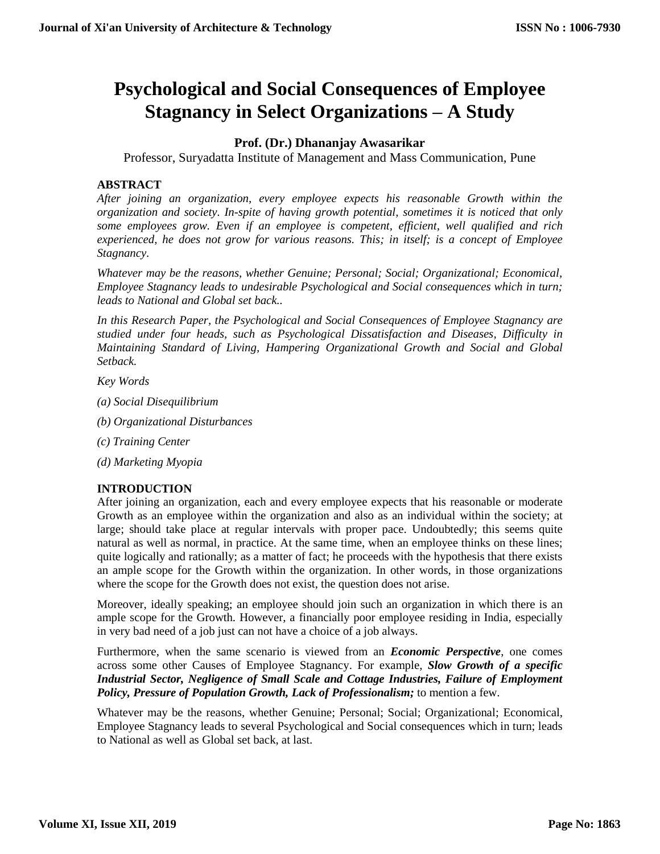# **Psychological and Social Consequences of Employee Stagnancy in Select Organizations – A Study**

# **Prof. (Dr.) Dhananjay Awasarikar**

Professor, Suryadatta Institute of Management and Mass Communication, Pune

# **ABSTRACT**

*After joining an organization, every employee expects his reasonable Growth within the organization and society. In-spite of having growth potential, sometimes it is noticed that only some employees grow. Even if an employee is competent, efficient, well qualified and rich experienced, he does not grow for various reasons. This; in itself; is a concept of Employee Stagnancy.*

*Whatever may be the reasons, whether Genuine; Personal; Social; Organizational; Economical, Employee Stagnancy leads to undesirable Psychological and Social consequences which in turn; leads to National and Global set back..*

*In this Research Paper, the Psychological and Social Consequences of Employee Stagnancy are studied under four heads, such as Psychological Dissatisfaction and Diseases, Difficulty in Maintaining Standard of Living, Hampering Organizational Growth and Social and Global Setback.*

*Key Words* 

- *(a) Social Disequilibrium*
- *(b) Organizational Disturbances*
- *(c) Training Center*
- *(d) Marketing Myopia*

# **INTRODUCTION**

After joining an organization, each and every employee expects that his reasonable or moderate Growth as an employee within the organization and also as an individual within the society; at large; should take place at regular intervals with proper pace. Undoubtedly; this seems quite natural as well as normal, in practice. At the same time, when an employee thinks on these lines; quite logically and rationally; as a matter of fact; he proceeds with the hypothesis that there exists an ample scope for the Growth within the organization. In other words, in those organizations where the scope for the Growth does not exist, the question does not arise.

Moreover, ideally speaking; an employee should join such an organization in which there is an ample scope for the Growth. However, a financially poor employee residing in India, especially in very bad need of a job just can not have a choice of a job always.

Furthermore, when the same scenario is viewed from an *Economic Perspective*, one comes across some other Causes of Employee Stagnancy. For example, *Slow Growth of a specific Industrial Sector, Negligence of Small Scale and Cottage Industries, Failure of Employment Policy, Pressure of Population Growth, Lack of Professionalism;* to mention a few.

Whatever may be the reasons, whether Genuine; Personal; Social; Organizational; Economical, Employee Stagnancy leads to several Psychological and Social consequences which in turn; leads to National as well as Global set back, at last.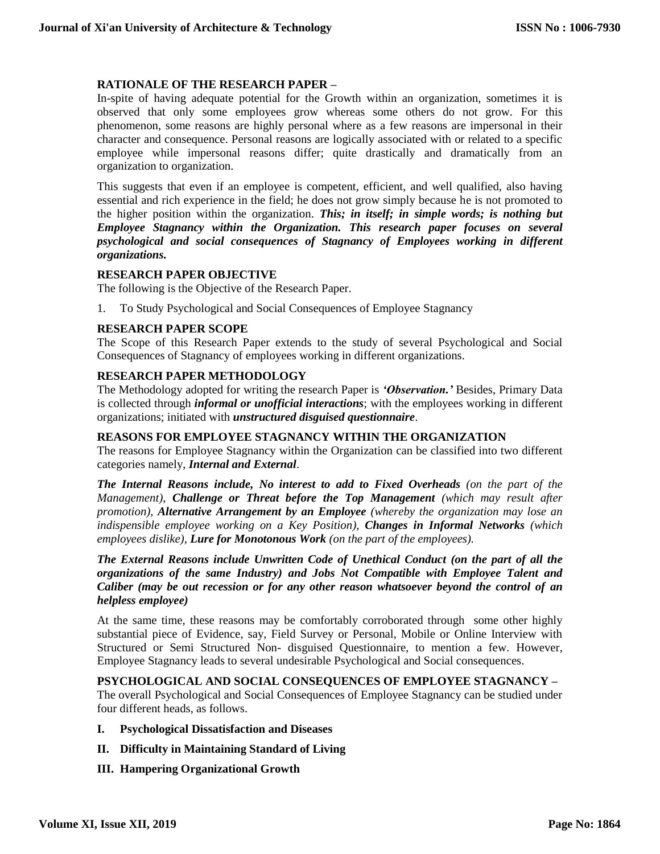# **RATIONALE OF THE RESEARCH PAPER –**

In-spite of having adequate potential for the Growth within an organization, sometimes it is observed that only some employees grow whereas some others do not grow. For this phenomenon, some reasons are highly personal where as a few reasons are impersonal in their character and consequence. Personal reasons are logically associated with or related to a specific employee while impersonal reasons differ; quite drastically and dramatically from an organization to organization.

This suggests that even if an employee is competent, efficient, and well qualified, also having essential and rich experience in the field; he does not grow simply because he is not promoted to the higher position within the organization. *This; in itself; in simple words; is nothing but Employee Stagnancy within the Organization. This research paper focuses on several psychological and social consequences of Stagnancy of Employees working in different organizations.*

#### **RESEARCH PAPER OBJECTIVE**

The following is the Objective of the Research Paper.

1. To Study Psychological and Social Consequences of Employee Stagnancy

# **RESEARCH PAPER SCOPE**

The Scope of this Research Paper extends to the study of several Psychological and Social Consequences of Stagnancy of employees working in different organizations.

# **RESEARCH PAPER METHODOLOGY**

The Methodology adopted for writing the research Paper is *'Observation.'* Besides, Primary Data is collected through *informal or unofficial interactions*; with the employees working in different organizations; initiated with *unstructured disguised questionnaire*.

#### **REASONS FOR EMPLOYEE STAGNANCY WITHIN THE ORGANIZATION**

The reasons for Employee Stagnancy within the Organization can be classified into two different categories namely, *Internal and External*.

*The Internal Reasons include, No interest to add to Fixed Overheads (on the part of the Management)*, *Challenge or Threat before the Top Management (which may result after promotion), Alternative Arrangement by an Employee (whereby the organization may lose an indispensible employee working on a Key Position), Changes in Informal Networks (which employees dislike), Lure for Monotonous Work (on the part of the employees).*

*The External Reasons include Unwritten Code of Unethical Conduct (on the part of all the organizations of the same Industry) and Jobs Not Compatible with Employee Talent and Caliber (may be out recession or for any other reason whatsoever beyond the control of an helpless employee)*

At the same time, these reasons may be comfortably corroborated through some other highly substantial piece of Evidence, say, Field Survey or Personal, Mobile or Online Interview with Structured or Semi Structured Non- disguised Questionnaire, to mention a few. However, Employee Stagnancy leads to several undesirable Psychological and Social consequences.

**PSYCHOLOGICAL AND SOCIAL CONSEQUENCES OF EMPLOYEE STAGNANCY –** The overall Psychological and Social Consequences of Employee Stagnancy can be studied under four different heads, as follows.

- **I. Psychological Dissatisfaction and Diseases**
- **II. Difficulty in Maintaining Standard of Living**
- **III. Hampering Organizational Growth**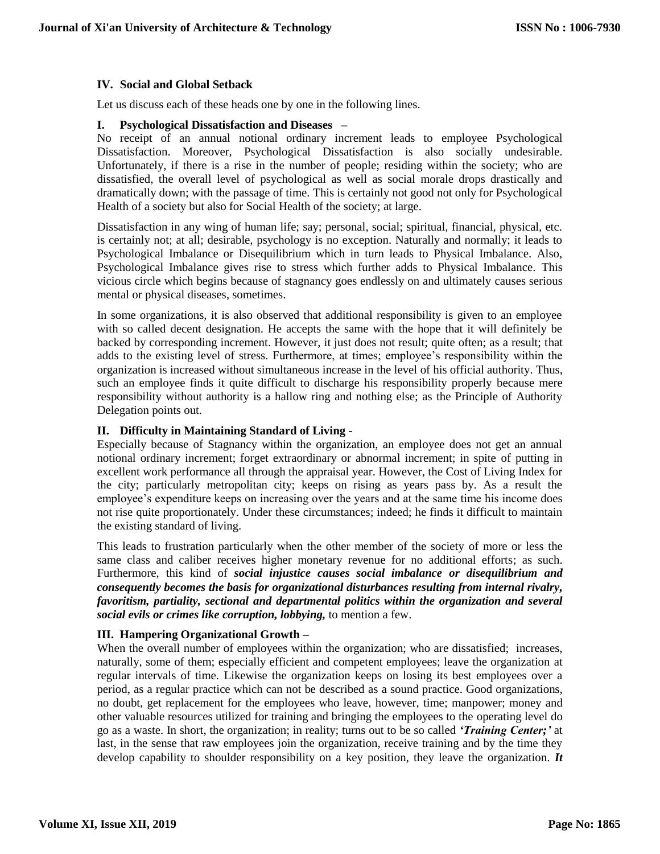### **IV. Social and Global Setback**

Let us discuss each of these heads one by one in the following lines.

#### **I. Psychological Dissatisfaction and Diseases –**

No receipt of an annual notional ordinary increment leads to employee Psychological Dissatisfaction. Moreover, Psychological Dissatisfaction is also socially undesirable. Unfortunately, if there is a rise in the number of people; residing within the society; who are dissatisfied, the overall level of psychological as well as social morale drops drastically and dramatically down; with the passage of time. This is certainly not good not only for Psychological Health of a society but also for Social Health of the society; at large.

Dissatisfaction in any wing of human life; say; personal, social; spiritual, financial, physical, etc. is certainly not; at all; desirable, psychology is no exception. Naturally and normally; it leads to Psychological Imbalance or Disequilibrium which in turn leads to Physical Imbalance. Also, Psychological Imbalance gives rise to stress which further adds to Physical Imbalance. This vicious circle which begins because of stagnancy goes endlessly on and ultimately causes serious mental or physical diseases, sometimes.

In some organizations, it is also observed that additional responsibility is given to an employee with so called decent designation. He accepts the same with the hope that it will definitely be backed by corresponding increment. However, it just does not result; quite often; as a result; that adds to the existing level of stress. Furthermore, at times; employee's responsibility within the organization is increased without simultaneous increase in the level of his official authority. Thus, such an employee finds it quite difficult to discharge his responsibility properly because mere responsibility without authority is a hallow ring and nothing else; as the Principle of Authority Delegation points out.

#### **II. Difficulty in Maintaining Standard of Living -**

Especially because of Stagnancy within the organization, an employee does not get an annual notional ordinary increment; forget extraordinary or abnormal increment; in spite of putting in excellent work performance all through the appraisal year. However, the Cost of Living Index for the city; particularly metropolitan city; keeps on rising as years pass by. As a result the employee's expenditure keeps on increasing over the years and at the same time his income does not rise quite proportionately. Under these circumstances; indeed; he finds it difficult to maintain the existing standard of living.

This leads to frustration particularly when the other member of the society of more or less the same class and caliber receives higher monetary revenue for no additional efforts; as such. Furthermore, this kind of *social injustice causes social imbalance or disequilibrium and consequently becomes the basis for organizational disturbances resulting from internal rivalry, favoritism, partiality, sectional and departmental politics within the organization and several social evils or crimes like corruption, lobbying,* to mention a few.

# **III. Hampering Organizational Growth –**

When the overall number of employees within the organization; who are dissatisfied; increases, naturally, some of them; especially efficient and competent employees; leave the organization at regular intervals of time. Likewise the organization keeps on losing its best employees over a period, as a regular practice which can not be described as a sound practice. Good organizations, no doubt, get replacement for the employees who leave, however, time; manpower; money and other valuable resources utilized for training and bringing the employees to the operating level do go as a waste. In short, the organization; in reality; turns out to be so called *'Training Center;'* at last, in the sense that raw employees join the organization, receive training and by the time they develop capability to shoulder responsibility on a key position, they leave the organization. *It*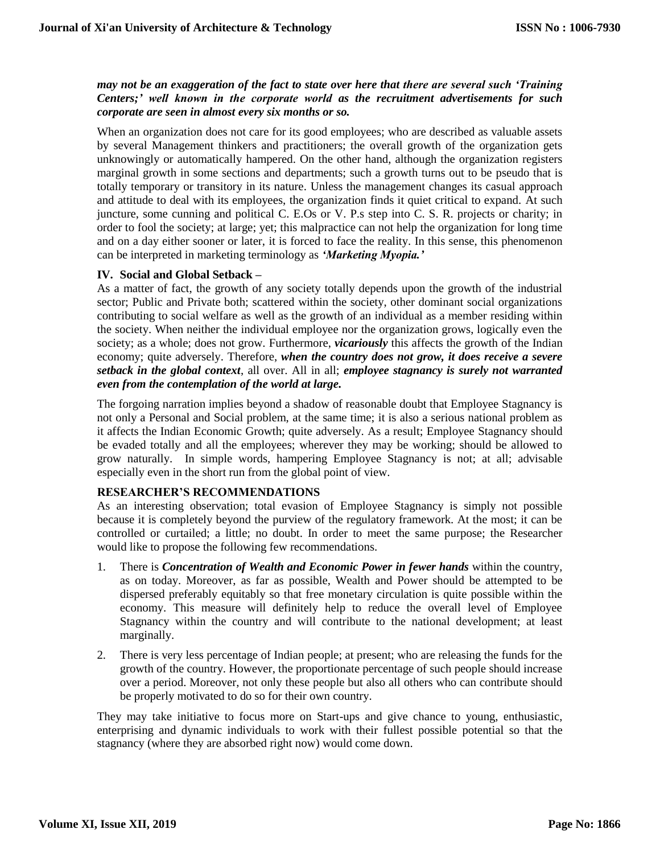*may not be an exaggeration of the fact to state over here that there are several such 'Training Centers;' well known in the corporate world as the recruitment advertisements for such corporate are seen in almost every six months or so.*

When an organization does not care for its good employees; who are described as valuable assets by several Management thinkers and practitioners; the overall growth of the organization gets unknowingly or automatically hampered. On the other hand, although the organization registers marginal growth in some sections and departments; such a growth turns out to be pseudo that is totally temporary or transitory in its nature. Unless the management changes its casual approach and attitude to deal with its employees, the organization finds it quiet critical to expand. At such juncture, some cunning and political C. E.Os or V. P.s step into C. S. R. projects or charity; in order to fool the society; at large; yet; this malpractice can not help the organization for long time and on a day either sooner or later, it is forced to face the reality. In this sense, this phenomenon can be interpreted in marketing terminology as *'Marketing Myopia.'*

#### **IV. Social and Global Setback –**

As a matter of fact, the growth of any society totally depends upon the growth of the industrial sector; Public and Private both; scattered within the society, other dominant social organizations contributing to social welfare as well as the growth of an individual as a member residing within the society. When neither the individual employee nor the organization grows, logically even the society; as a whole; does not grow. Furthermore, *vicariously* this affects the growth of the Indian economy; quite adversely. Therefore, *when the country does not grow, it does receive a severe setback in the global context*, all over. All in all; *employee stagnancy is surely not warranted even from the contemplation of the world at large.*

The forgoing narration implies beyond a shadow of reasonable doubt that Employee Stagnancy is not only a Personal and Social problem, at the same time; it is also a serious national problem as it affects the Indian Economic Growth; quite adversely. As a result; Employee Stagnancy should be evaded totally and all the employees; wherever they may be working; should be allowed to grow naturally. In simple words, hampering Employee Stagnancy is not; at all; advisable especially even in the short run from the global point of view.

#### **RESEARCHER'S RECOMMENDATIONS**

As an interesting observation; total evasion of Employee Stagnancy is simply not possible because it is completely beyond the purview of the regulatory framework. At the most; it can be controlled or curtailed; a little; no doubt. In order to meet the same purpose; the Researcher would like to propose the following few recommendations.

- 1. There is *Concentration of Wealth and Economic Power in fewer hands* within the country, as on today. Moreover, as far as possible, Wealth and Power should be attempted to be dispersed preferably equitably so that free monetary circulation is quite possible within the economy. This measure will definitely help to reduce the overall level of Employee Stagnancy within the country and will contribute to the national development; at least marginally.
- 2. There is very less percentage of Indian people; at present; who are releasing the funds for the growth of the country. However, the proportionate percentage of such people should increase over a period. Moreover, not only these people but also all others who can contribute should be properly motivated to do so for their own country.

They may take initiative to focus more on Start-ups and give chance to young, enthusiastic, enterprising and dynamic individuals to work with their fullest possible potential so that the stagnancy (where they are absorbed right now) would come down.